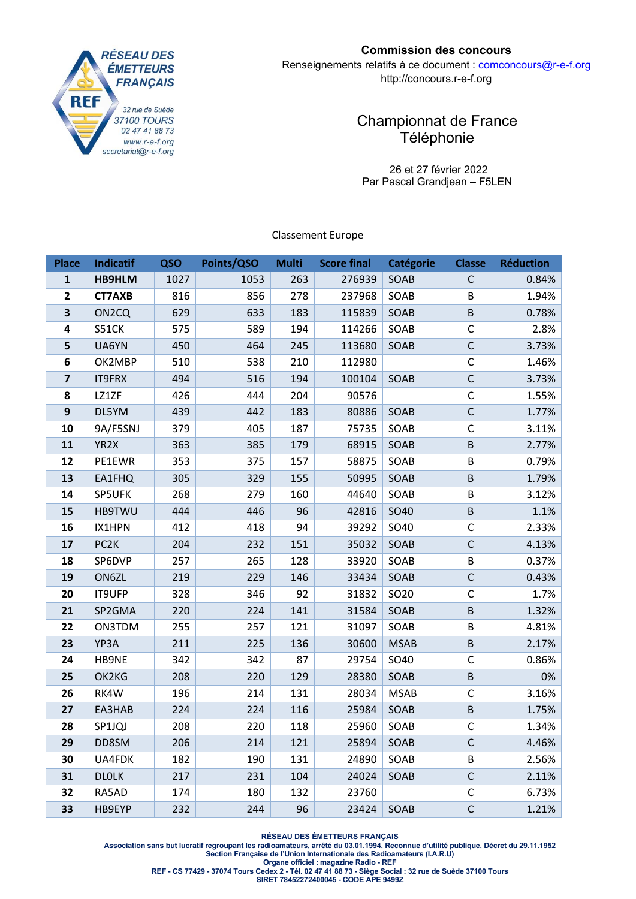

## **Commission des concours**

Renseignements relatifs à ce document : comconcours@r-e-f.org http://concours.r-e-f.org

# Championnat de France Téléphonie

 26 et 27 février 2022 Par Pascal Grandjean – F5LEN

Classement Europe

| <b>Place</b>   | <b>Indicatif</b>   | QSO  | Points/QSO | <b>Multi</b> | <b>Score final</b> | <b>Catégorie</b> | <b>Classe</b> | <b>Réduction</b> |
|----------------|--------------------|------|------------|--------------|--------------------|------------------|---------------|------------------|
| $\mathbf{1}$   | <b>HB9HLM</b>      | 1027 | 1053       | 263          | 276939             | SOAB             | $\mathsf C$   | 0.84%            |
| $\overline{2}$ | <b>CT7AXB</b>      | 816  | 856        | 278          | 237968             | SOAB             | B             | 1.94%            |
| 3              | ON <sub>2</sub> CQ | 629  | 633        | 183          | 115839             | SOAB             | B             | 0.78%            |
| 4              | S51CK              | 575  | 589        | 194          | 114266             | SOAB             | C             | 2.8%             |
| 5              | UA6YN              | 450  | 464        | 245          | 113680             | SOAB             | $\mathsf C$   | 3.73%            |
| 6              | OK2MBP             | 510  | 538        | 210          | 112980             |                  | $\mathsf C$   | 1.46%            |
| $\overline{7}$ | <b>IT9FRX</b>      | 494  | 516        | 194          | 100104             | SOAB             | $\mathsf C$   | 3.73%            |
| 8              | LZ1ZF              | 426  | 444        | 204          | 90576              |                  | $\mathsf C$   | 1.55%            |
| 9              | DL5YM              | 439  | 442        | 183          | 80886              | SOAB             | $\mathsf{C}$  | 1.77%            |
| 10             | 9A/F5SNJ           | 379  | 405        | 187          | 75735              | SOAB             | C             | 3.11%            |
| 11             | YR <sub>2</sub> X  | 363  | 385        | 179          | 68915              | SOAB             | $\sf B$       | 2.77%            |
| 12             | PE1EWR             | 353  | 375        | 157          | 58875              | SOAB             | B             | 0.79%            |
| 13             | EA1FHQ             | 305  | 329        | 155          | 50995              | SOAB             | B             | 1.79%            |
| 14             | SP5UFK             | 268  | 279        | 160          | 44640              | SOAB             | B             | 3.12%            |
| 15             | <b>HB9TWU</b>      | 444  | 446        | 96           | 42816              | SO40             | $\sf B$       | 1.1%             |
| 16             | IX1HPN             | 412  | 418        | 94           | 39292              | SO40             | $\mathsf C$   | 2.33%            |
| 17             | PC <sub>2</sub> K  | 204  | 232        | 151          | 35032              | SOAB             | $\mathsf C$   | 4.13%            |
| 18             | SP6DVP             | 257  | 265        | 128          | 33920              | SOAB             | B             | 0.37%            |
| 19             | ON6ZL              | 219  | 229        | 146          | 33434              | SOAB             | $\mathsf C$   | 0.43%            |
| 20             | <b>IT9UFP</b>      | 328  | 346        | 92           | 31832              | SO <sub>20</sub> | C             | 1.7%             |
| 21             | SP2GMA             | 220  | 224        | 141          | 31584              | SOAB             | B             | 1.32%            |
| 22             | ON3TDM             | 255  | 257        | 121          | 31097              | SOAB             | B             | 4.81%            |
| 23             | YP3A               | 211  | 225        | 136          | 30600              | <b>MSAB</b>      | $\sf B$       | 2.17%            |
| 24             | HB9NE              | 342  | 342        | 87           | 29754              | SO40             | C             | 0.86%            |
| 25             | OK2KG              | 208  | 220        | 129          | 28380              | SOAB             | $\sf B$       | 0%               |
| 26             | RK4W               | 196  | 214        | 131          | 28034              | <b>MSAB</b>      | C             | 3.16%            |
| 27             | EA3HAB             | 224  | 224        | 116          | 25984              | SOAB             | B             | 1.75%            |
| 28             | SP1JQJ             | 208  | 220        | 118          | 25960              | SOAB             | C             | 1.34%            |
| 29             | DD8SM              | 206  | 214        | 121          | 25894              | SOAB             | $\mathsf C$   | 4.46%            |
| 30             | UA4FDK             | 182  | 190        | 131          | 24890              | SOAB             | B             | 2.56%            |
| 31             | <b>DLOLK</b>       | 217  | 231        | 104          | 24024              | SOAB             | $\mathsf C$   | 2.11%            |
| 32             | RA5AD              | 174  | 180        | 132          | 23760              |                  | C             | 6.73%            |
| 33             | HB9EYP             | 232  | 244        | 96           | 23424              | SOAB             | $\mathsf C$   | 1.21%            |

**RÉSEAU DES ÉMETTEURS FRANÇAIS** 

**Association sans but lucratif regroupant les radioamateurs, arrêté du 03.01.1994, Reconnue d'utilité publique, Décret du 29.11.1952 Section Française de l'Union Internationale des Radioamateurs (I.A.R.U) Organe officiel : magazine Radio - REF** 

**REF - CS 77429 - 37074 Tours Cedex 2 - Tél. 02 47 41 88 73 - Siège Social : 32 rue de Suède 37100 Tours**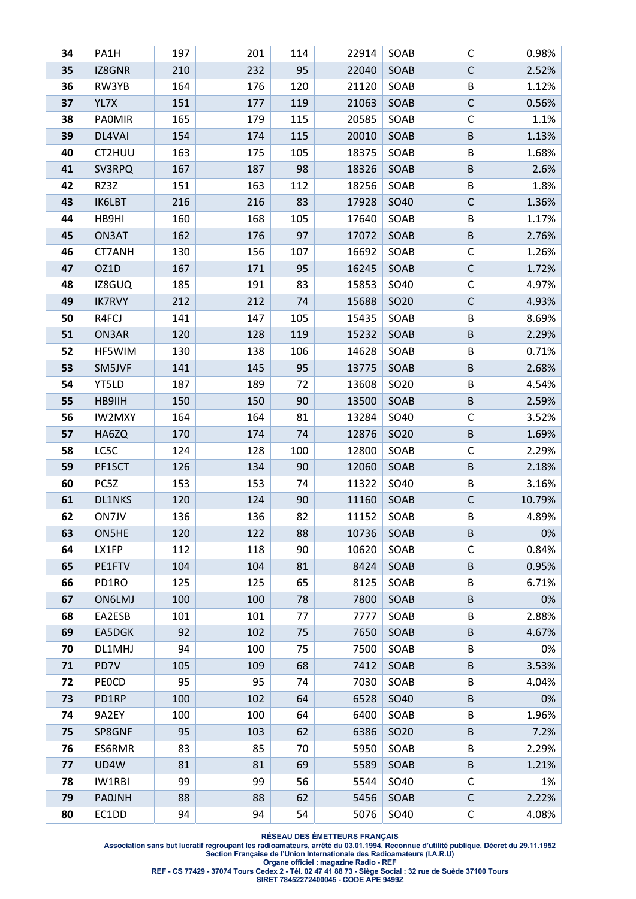| 34       | PA1H                 | 197       | 201        | 114      | 22914        | SOAB             | C            | 0.98%          |
|----------|----------------------|-----------|------------|----------|--------------|------------------|--------------|----------------|
| 35       | IZ8GNR               | 210       | 232        | 95       | 22040        | SOAB             | $\mathsf C$  | 2.52%          |
| 36       | RW3YB                | 164       | 176        | 120      | 21120        | SOAB             | B            | 1.12%          |
| 37       | YL7X                 | 151       | 177        | 119      | 21063        | SOAB             | $\mathsf C$  | 0.56%          |
| 38       | <b>PAOMIR</b>        | 165       | 179        | 115      | 20585        | SOAB             | C            | 1.1%           |
| 39       | DL4VAI               | 154       | 174        | 115      | 20010        | SOAB             | B            | 1.13%          |
| 40       | CT2HUU               | 163       | 175        | 105      | 18375        | SOAB             | B            | 1.68%          |
| 41       | SV3RPQ               | 167       | 187        | 98       | 18326        | SOAB             | B            | 2.6%           |
| 42       | RZ3Z                 | 151       | 163        | 112      | 18256        | SOAB             | B            | 1.8%           |
| 43       | <b>IK6LBT</b>        | 216       | 216        | 83       | 17928        | SO40             | C            | 1.36%          |
| 44       | HB9HI                | 160       | 168        | 105      | 17640        | SOAB             | B            | 1.17%          |
| 45       | ON3AT                | 162       | 176        | 97       | 17072        | SOAB             | B            | 2.76%          |
| 46       | CT7ANH               | 130       | 156        | 107      | 16692        | SOAB             | $\mathsf C$  | 1.26%          |
| 47       | OZ1D                 | 167       | 171        | 95       | 16245        | SOAB             | $\mathsf C$  | 1.72%          |
| 48       | IZ8GUQ               | 185       | 191        | 83       | 15853        | SO40             | C            | 4.97%          |
| 49       | <b>IK7RVY</b>        | 212       | 212        | 74       | 15688        | SO <sub>20</sub> | $\mathsf C$  | 4.93%          |
| 50       | R4FCJ                | 141       | 147        | 105      | 15435        | SOAB             | B            | 8.69%          |
| 51       | ON3AR                | 120       | 128        | 119      | 15232        | SOAB             | B            | 2.29%          |
| 52       | HF5WIM               | 130       | 138        | 106      | 14628        | SOAB             | B            | 0.71%          |
| 53       | SM5JVF               | 141       | 145        | 95       | 13775        | SOAB             | B            | 2.68%          |
| 54       | YT5LD                | 187       | 189        | 72       | 13608        | SO <sub>20</sub> | B            | 4.54%          |
| 55       | HB9IIH               | 150       | 150        | 90       | 13500        | SOAB             | B            | 2.59%          |
| 56       | <b>IW2MXY</b>        | 164       | 164        | 81       | 13284        | SO40             | C            | 3.52%          |
| 57       | HA6ZQ                | 170       | 174        | 74       | 12876        | SO <sub>20</sub> | $\sf B$      | 1.69%          |
| 58       | LC5C                 | 124       | 128        | 100      | 12800        | SOAB             | C            | 2.29%          |
| 59       | PF1SCT               | 126       | 134        | 90       | 12060        | SOAB             | $\sf B$      | 2.18%          |
| 60       | PC5Z                 | 153       | 153        | 74       | 11322        | SO40             | B            | 3.16%          |
| 61       | DL1NKS               | 120       | 124        | 90       | 11160        | SOAB             | C            | 10.79%         |
| 62       | ON7JV                | 136       | 136        | 82       | 11152        | SOAB             | B            | 4.89%          |
| 63       | ON5HE                | 120       | 122        | 88       | 10736        | SOAB             | B            | 0%             |
| 64       | LX1FP                | 112       | 118        | 90       | 10620        | SOAB             | C            | 0.84%          |
| 65       | PE1FTV               | 104       | 104        | 81       | 8424         | SOAB             | B            | 0.95%          |
| 66       | PD1RO                | 125       | 125        | 65       | 8125         | SOAB             | B            | 6.71%          |
| 67       | <b>ON6LMJ</b>        | 100       | 100        | 78       | 7800         | SOAB             | B            | 0%             |
| 68       | EA2ESB               | 101       | 101        | 77       | 7777         | SOAB             | B            | 2.88%          |
| 69       | EA5DGK               | 92<br>94  | 102        | 75<br>75 | 7650         | SOAB             | B            | 4.67%          |
| 70<br>71 | DL1MHJ               |           | 100<br>109 |          | 7500<br>7412 | SOAB             | В<br>$\sf B$ | 0%             |
| 72       | PD7V<br><b>PEOCD</b> | 105<br>95 | 95         | 68<br>74 | 7030         | SOAB<br>SOAB     | B            | 3.53%<br>4.04% |
| 73       | PD1RP                | 100       | 102        | 64       | 6528         | SO40             | B            | 0%             |
| 74       | 9A2EY                | 100       | 100        | 64       | 6400         | SOAB             | B            | 1.96%          |
| 75       | SP8GNF               | 95        | 103        | 62       | 6386         | SO <sub>20</sub> | B            | 7.2%           |
| 76       | ES6RMR               | 83        | 85         | 70       | 5950         | SOAB             | B            | 2.29%          |
| 77       | UD4W                 | 81        | 81         | 69       | 5589         | SOAB             | B            | 1.21%          |
| 78       | IW1RBI               | 99        | 99         | 56       | 5544         | SO40             | C            | 1%             |
| 79       | <b>PAOJNH</b>        | 88        | 88         | 62       | 5456         | SOAB             | $\mathsf C$  | 2.22%          |
| 80       | EC1DD                | 94        | 94         | 54       | 5076         | SO40             | C            | 4.08%          |
|          |                      |           |            |          |              |                  |              |                |

**Association sans but lucratif regroupant les radioamateurs, arrêté du 03.01.1994, Reconnue d'utilité publique, Décret du 29.11.1952 Section Française de l'Union Internationale des Radioamateurs (I.A.R.U)** 

**Organe officiel : magazine Radio - REF** 

**REF - CS 77429 - 37074 Tours Cedex 2 - Tél. 02 47 41 88 73 - Siège Social : 32 rue de Suède 37100 Tours**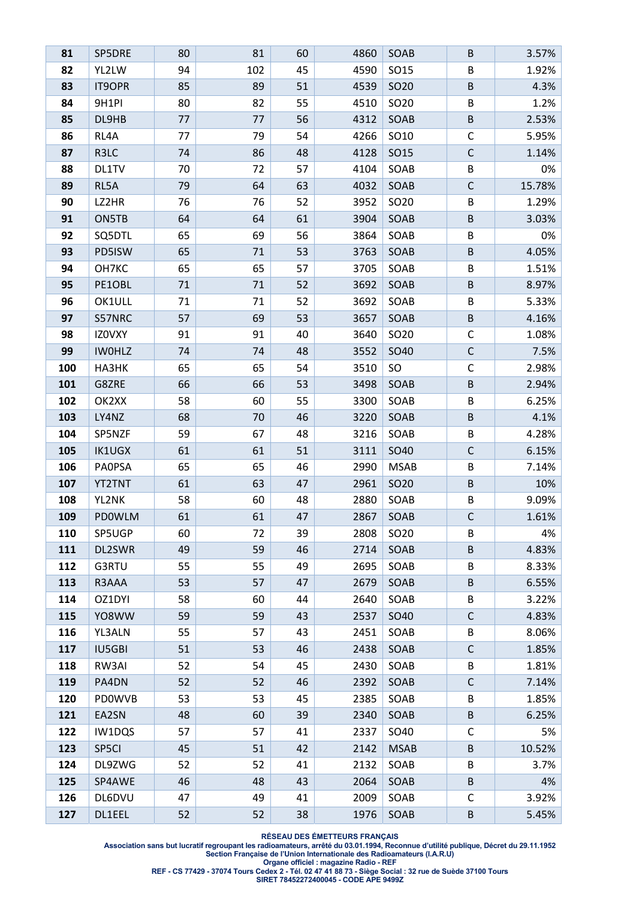| 81         | SP5DRE          | 80       | 81       | 60       | 4860         | SOAB             | B           | 3.57%          |
|------------|-----------------|----------|----------|----------|--------------|------------------|-------------|----------------|
| 82         | YL2LW           | 94       | 102      | 45       | 4590         | SO15             | B           | 1.92%          |
| 83         | <b>IT9OPR</b>   | 85       | 89       | 51       | 4539         | SO <sub>20</sub> | $\sf B$     | 4.3%           |
| 84         | 9H1PI           | 80       | 82       | 55       | 4510         | SO <sub>20</sub> | B           | 1.2%           |
| 85         | DL9HB           | 77       | 77       | 56       | 4312         | SOAB             | B           | 2.53%          |
| 86         | RL4A            | 77       | 79       | 54       | 4266         | SO10             | C           | 5.95%          |
| 87         | R3LC            | 74       | 86       | 48       | 4128         | SO15             | $\mathsf C$ | 1.14%          |
| 88         | DL1TV           | 70       | 72       | 57       | 4104         | SOAB             | B           | 0%             |
| 89         | RL5A            | 79       | 64       | 63       | 4032         | SOAB             | $\mathsf C$ | 15.78%         |
| 90         | LZ2HR           | 76       | 76       | 52       | 3952         | SO <sub>20</sub> | B           | 1.29%          |
| 91         | ON5TB           | 64       | 64       | 61       | 3904         | SOAB             | $\sf B$     | 3.03%          |
| 92         | SQ5DTL          | 65       | 69       | 56       | 3864         | SOAB             | B           | 0%             |
| 93         | PD5ISW          | 65       | 71       | 53       | 3763         | SOAB             | $\sf B$     | 4.05%          |
| 94         | OH7KC           | 65       | 65       | 57       | 3705         | SOAB             | B           | 1.51%          |
| 95         | PE1OBL          | 71       | 71       | 52       | 3692         | SOAB             | B           | 8.97%          |
| 96         | OK1ULL          | 71       | 71       | 52       | 3692         | SOAB             | B           | 5.33%          |
| 97         | S57NRC          | 57       | 69       | 53       | 3657         | SOAB             | $\sf B$     | 4.16%          |
| 98         | IZOVXY          | 91       | 91       | 40       | 3640         | SO <sub>20</sub> | С           | 1.08%          |
| 99         | <b>IWOHLZ</b>   | 74       | 74       | 48       | 3552         | SO40             | $\mathsf C$ | 7.5%           |
| 100        | HA3HK           | 65       | 65       | 54       | 3510         | <b>SO</b>        | C           | 2.98%          |
| 101        | G8ZRE           | 66       | 66       | 53       | 3498         | SOAB             | $\sf B$     | 2.94%          |
| 102        | OK2XX           | 58       | 60       | 55       | 3300         | SOAB             | B           | 6.25%          |
| 103        | LY4NZ           | 68       | 70       | 46       | 3220         | SOAB             | $\sf B$     | 4.1%           |
| 104        | SP5NZF          | 59       | 67       | 48       | 3216         | SOAB             | B           | 4.28%          |
| 105        | IK1UGX          | 61       | 61       | 51       | 3111         | SO40             | $\mathsf C$ | 6.15%          |
| 106        | <b>PAOPSA</b>   | 65       | 65       | 46       | 2990         | <b>MSAB</b>      | B           | 7.14%          |
| 107        | YT2TNT          | 61       | 63       | 47       | 2961         | SO <sub>20</sub> | $\sf B$     | 10%            |
| 108        | YL2NK           | 58       | 60       | 48       | 2880         | SOAB             | B           | 9.09%          |
| 109        | PDOWLM          | 61       | 61       | 47       | 2867         | SOAB             | $\mathsf C$ | 1.61%          |
| 110        | SP5UGP          | 60       | 72       | 39       | 2808         | SO <sub>20</sub> | В           | 4%             |
| 111        | DL2SWR          | 49       | 59       | 46       | 2714         | SOAB             | B           | 4.83%          |
| 112        | G3RTU           | 55       | 55       | 49       | 2695         | SOAB             | B           | 8.33%          |
| 113<br>114 | R3AAA<br>OZ1DYI | 53<br>58 | 57       | 47<br>44 | 2679<br>2640 | SOAB             | B<br>B      | 6.55%          |
| 115        | YO8WW           | 59       | 60<br>59 | 43       | 2537         | SOAB<br>SO40     | $\mathsf C$ | 3.22%<br>4.83% |
| 116        | YL3ALN          | 55       | 57       | 43       | 2451         | SOAB             | B           | 8.06%          |
| 117        | <b>IU5GBI</b>   | 51       | 53       | 46       | 2438         | SOAB             | $\mathsf C$ | 1.85%          |
| 118        | RW3AI           | 52       | 54       | 45       | 2430         | SOAB             | B           | 1.81%          |
| 119        | PA4DN           | 52       | 52       | 46       | 2392         | SOAB             | $\mathsf C$ | 7.14%          |
| 120        | <b>PDOWVB</b>   | 53       | 53       | 45       | 2385         | SOAB             | B           | 1.85%          |
| 121        | EA2SN           | 48       | 60       | 39       | 2340         | SOAB             | $\sf B$     | 6.25%          |
| 122        | IW1DQS          | 57       | 57       | 41       | 2337         | SO40             | C           | 5%             |
| 123        | SP5CI           | 45       | 51       | 42       | 2142         | <b>MSAB</b>      | B           | 10.52%         |
| 124        | DL9ZWG          | 52       | 52       | 41       | 2132         | SOAB             | B           | 3.7%           |
| 125        | SP4AWE          | 46       | 48       | 43       | 2064         | SOAB             | B           | 4%             |
| 126        | DL6DVU          | 47       | 49       | 41       | 2009         | SOAB             | C           | 3.92%          |
| 127        | DL1EEL          | 52       | 52       | 38       | 1976         | SOAB             | $\sf B$     | 5.45%          |

**Association sans but lucratif regroupant les radioamateurs, arrêté du 03.01.1994, Reconnue d'utilité publique, Décret du 29.11.1952 Section Française de l'Union Internationale des Radioamateurs (I.A.R.U)** 

**Organe officiel : magazine Radio - REF** 

**REF - CS 77429 - 37074 Tours Cedex 2 - Tél. 02 47 41 88 73 - Siège Social : 32 rue de Suède 37100 Tours**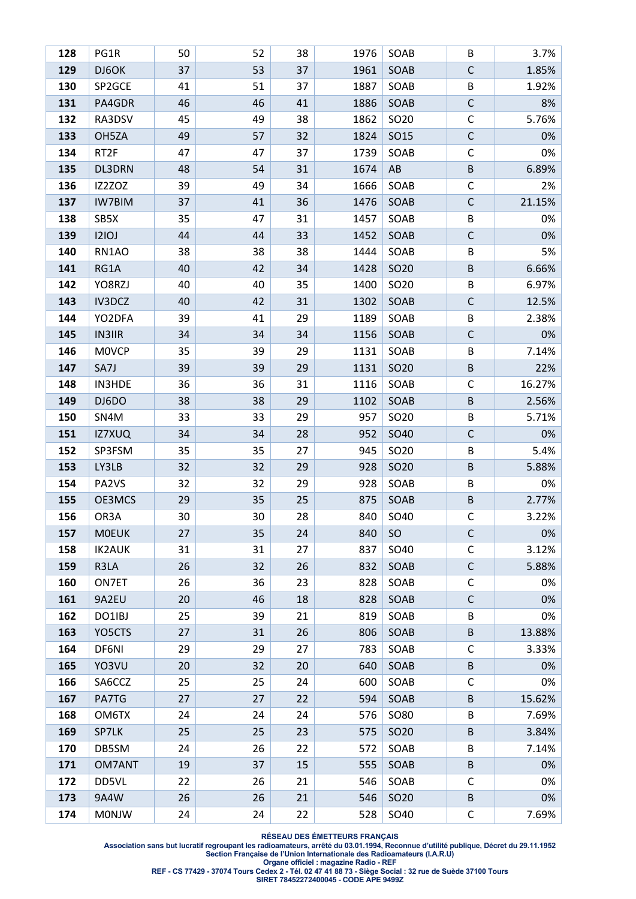| 128 | PG1R             | 50 | 52 | 38 | 1976 | SOAB             | В           | 3.7%   |
|-----|------------------|----|----|----|------|------------------|-------------|--------|
| 129 | DJ6OK            | 37 | 53 | 37 | 1961 | SOAB             | $\mathsf C$ | 1.85%  |
| 130 | SP2GCE           | 41 | 51 | 37 | 1887 | SOAB             | B           | 1.92%  |
| 131 | PA4GDR           | 46 | 46 | 41 | 1886 | SOAB             | $\mathsf C$ | 8%     |
| 132 | RA3DSV           | 45 | 49 | 38 | 1862 | SO20             | C           | 5.76%  |
| 133 | OH5ZA            | 49 | 57 | 32 | 1824 | SO15             | $\mathsf C$ | 0%     |
| 134 | RT <sub>2F</sub> | 47 | 47 | 37 | 1739 | SOAB             | C           | 0%     |
| 135 | DL3DRN           | 48 | 54 | 31 | 1674 | AB               | B           | 6.89%  |
| 136 | IZ2ZOZ           | 39 | 49 | 34 | 1666 | SOAB             | C           | 2%     |
| 137 | <b>IW7BIM</b>    | 37 | 41 | 36 | 1476 | SOAB             | $\mathsf C$ | 21.15% |
| 138 | SB5X             | 35 | 47 | 31 | 1457 | SOAB             | B           | 0%     |
| 139 | 121OJ            | 44 | 44 | 33 | 1452 | SOAB             | $\mathsf C$ | 0%     |
| 140 | RN1AO            | 38 | 38 | 38 | 1444 | SOAB             | B           | 5%     |
| 141 | RG1A             | 40 | 42 | 34 | 1428 | SO <sub>20</sub> | $\sf B$     | 6.66%  |
| 142 | YO8RZJ           | 40 | 40 | 35 | 1400 | SO <sub>20</sub> | B           | 6.97%  |
| 143 | IV3DCZ           | 40 | 42 | 31 | 1302 | SOAB             | $\mathsf C$ | 12.5%  |
| 144 | YO2DFA           | 39 | 41 | 29 | 1189 | SOAB             | B           | 2.38%  |
| 145 | <b>IN3IIR</b>    | 34 | 34 | 34 | 1156 | SOAB             | $\mathsf C$ | 0%     |
| 146 | <b>MOVCP</b>     | 35 | 39 | 29 | 1131 | SOAB             | B           | 7.14%  |
| 147 | SA7J             | 39 | 39 | 29 | 1131 | SO <sub>20</sub> | $\sf B$     | 22%    |
| 148 | <b>IN3HDE</b>    | 36 | 36 | 31 | 1116 | SOAB             | C           | 16.27% |
| 149 | DJ6DO            | 38 | 38 | 29 | 1102 | SOAB             | $\sf B$     | 2.56%  |
| 150 | SN4M             | 33 | 33 | 29 | 957  | SO <sub>20</sub> | B           | 5.71%  |
| 151 | IZ7XUQ           | 34 | 34 | 28 | 952  | SO40             | $\mathsf C$ | 0%     |
| 152 | SP3FSM           | 35 | 35 | 27 | 945  | SO <sub>20</sub> | B           | 5.4%   |
| 153 | LY3LB            | 32 | 32 | 29 | 928  | SO <sub>20</sub> | $\sf B$     | 5.88%  |
| 154 | PA2VS            | 32 | 32 | 29 | 928  | SOAB             | B           | 0%     |
| 155 | OE3MCS           | 29 | 35 | 25 | 875  | SOAB             | B           | 2.77%  |
| 156 | OR3A             | 30 | 30 | 28 | 840  | SO40             | C           | 3.22%  |
| 157 | <b>MOEUK</b>     | 27 | 35 | 24 | 840  | <b>SO</b>        | С           | 0%     |
| 158 | <b>IK2AUK</b>    | 31 | 31 | 27 | 837  | SO40             | C           | 3.12%  |
| 159 | R3LA             | 26 | 32 | 26 | 832  | SOAB             | $\mathsf C$ | 5.88%  |
| 160 | ON7ET            | 26 | 36 | 23 | 828  | SOAB             | C           | 0%     |
| 161 | 9A2EU            | 20 | 46 | 18 | 828  | SOAB             | $\mathsf C$ | 0%     |
| 162 | DO1IBJ           | 25 | 39 | 21 | 819  | SOAB             | B           | 0%     |
| 163 | YO5CTS           | 27 | 31 | 26 | 806  | SOAB             | B           | 13.88% |
| 164 | DF6NI            | 29 | 29 | 27 | 783  | SOAB             | С           | 3.33%  |
| 165 | YO3VU            | 20 | 32 | 20 | 640  | SOAB             | $\sf B$     | 0%     |
| 166 | SA6CCZ           | 25 | 25 | 24 | 600  | SOAB             | C           | 0%     |
| 167 | PA7TG            | 27 | 27 | 22 | 594  | SOAB             | B           | 15.62% |
| 168 | OM6TX            | 24 | 24 | 24 | 576  | <b>SO80</b>      | B           | 7.69%  |
| 169 | SP7LK            | 25 | 25 | 23 | 575  | SO <sub>20</sub> | $\sf B$     | 3.84%  |
| 170 | DB5SM            | 24 | 26 | 22 | 572  | SOAB             | B           | 7.14%  |
| 171 | OM7ANT           | 19 | 37 | 15 | 555  | SOAB             | B           | 0%     |
| 172 | DD5VL            | 22 | 26 | 21 | 546  | SOAB             | C           | 0%     |
| 173 | 9A4W             | 26 | 26 | 21 | 546  | SO <sub>20</sub> | B           | 0%     |
| 174 | <b>MONJW</b>     | 24 | 24 | 22 | 528  | SO40             | С           | 7.69%  |

**Association sans but lucratif regroupant les radioamateurs, arrêté du 03.01.1994, Reconnue d'utilité publique, Décret du 29.11.1952 Section Française de l'Union Internationale des Radioamateurs (I.A.R.U)** 

**Organe officiel : magazine Radio - REF** 

**REF - CS 77429 - 37074 Tours Cedex 2 - Tél. 02 47 41 88 73 - Siège Social : 32 rue de Suède 37100 Tours**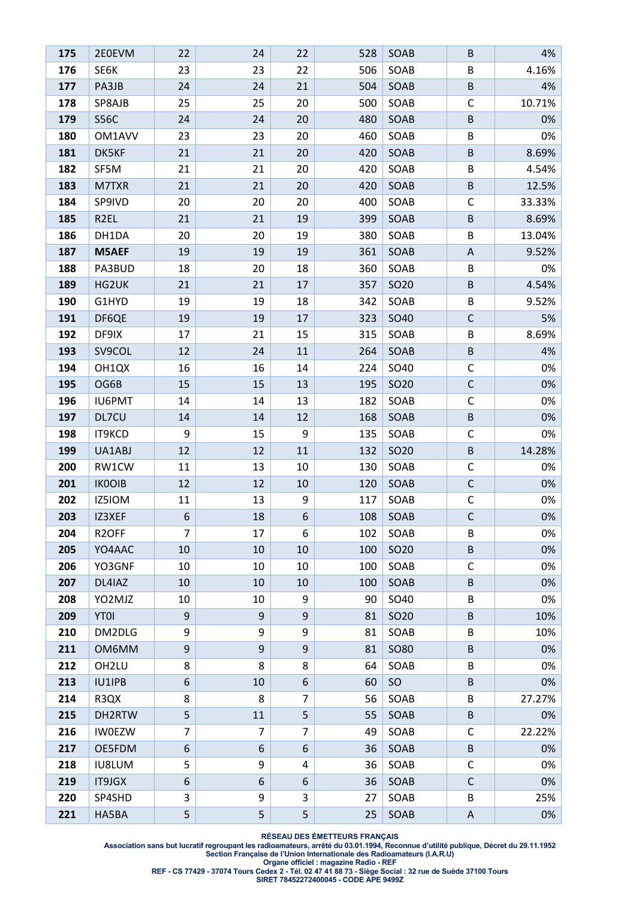| 175 | 2E0EVM             | 22             | 24 | 22             | 528 | SOAB             | B           | 4%     |
|-----|--------------------|----------------|----|----------------|-----|------------------|-------------|--------|
| 176 | SE6K               | 23             | 23 | 22             | 506 | SOAB             | B           | 4.16%  |
| 177 | PA3JB              | 24             | 24 | 21             | 504 | SOAB             | $\sf B$     | 4%     |
| 178 | SP8AJB             | 25             | 25 | 20             | 500 | SOAB             | C           | 10.71% |
| 179 | <b>S56C</b>        | 24             | 24 | 20             | 480 | SOAB             | B           | 0%     |
| 180 | OM1AVV             | 23             | 23 | 20             | 460 | SOAB             | B           | 0%     |
| 181 | DK5KF              | 21             | 21 | 20             | 420 | SOAB             | $\sf B$     | 8.69%  |
| 182 | SF5M               | 21             | 21 | 20             | 420 | SOAB             | B           | 4.54%  |
| 183 | M7TXR              | 21             | 21 | 20             | 420 | SOAB             | $\sf B$     | 12.5%  |
| 184 | SP9IVD             | 20             | 20 | 20             | 400 | SOAB             | C           | 33.33% |
| 185 | R <sub>2EL</sub>   | 21             | 21 | 19             | 399 | SOAB             | $\sf B$     | 8.69%  |
| 186 | DH1DA              | 20             | 20 | 19             | 380 | SOAB             | B           | 13.04% |
| 187 | M5AEF              | 19             | 19 | 19             | 361 | SOAB             | A           | 9.52%  |
| 188 | PA3BUD             | 18             | 20 | 18             | 360 | SOAB             | B           | 0%     |
| 189 | HG2UK              | 21             | 21 | 17             | 357 | SO <sub>20</sub> | B           | 4.54%  |
| 190 | G1HYD              | 19             | 19 | 18             | 342 | SOAB             | B           | 9.52%  |
| 191 | DF6QE              | 19             | 19 | 17             | 323 | SO40             | $\mathsf C$ | 5%     |
| 192 | DF9IX              | 17             | 21 | 15             | 315 | SOAB             | В           | 8.69%  |
| 193 | SV9COL             | 12             | 24 | 11             | 264 | SOAB             | $\sf B$     | 4%     |
| 194 | OH1QX              | 16             | 16 | 14             | 224 | SO40             | C           | 0%     |
| 195 | OG6B               | 15             | 15 | 13             | 195 | SO <sub>20</sub> | $\mathsf C$ | 0%     |
| 196 | <b>IU6PMT</b>      | 14             | 14 | 13             | 182 | SOAB             | $\mathsf C$ | 0%     |
| 197 | DL7CU              | 14             | 14 | 12             | 168 | SOAB             | $\sf B$     | 0%     |
| 198 | IT9KCD             | 9              | 15 | 9              | 135 | SOAB             | C           | 0%     |
| 199 | UA1ABJ             | 12             | 12 | 11             | 132 | SO <sub>20</sub> | B           | 14.28% |
| 200 | RW1CW              | 11             | 13 | 10             | 130 | SOAB             | С           | 0%     |
| 201 | <b>IKOOIB</b>      | 12             | 12 | 10             | 120 | SOAB             | $\mathsf C$ | 0%     |
| 202 | IZ5IOM             | 11             | 13 | 9              | 117 | SOAB             | C           | 0%     |
| 203 | IZ3XEF             | 6              | 18 | 6              | 108 | SOAB             | $\mathsf C$ | 0%     |
| 204 | R <sub>2</sub> OFF | 7              | 17 | 6              | 102 | SOAB             | В           | 0%     |
| 205 | YO4AAC             | 10             | 10 | 10             | 100 | SO <sub>20</sub> | B           | 0%     |
| 206 | YO3GNF             | 10             | 10 | 10             | 100 | SOAB             | C           | 0%     |
| 207 | DL4IAZ             | 10             | 10 | 10             | 100 | SOAB             | B           | 0%     |
| 208 | YO2MJZ             | 10             | 10 | 9              | 90  | SO40             | B           | 0%     |
| 209 | <b>YTOI</b>        | 9              | 9  | 9              | 81  | SO <sub>20</sub> | B           | 10%    |
| 210 | DM2DLG             | 9              | 9  | 9              | 81  | SOAB             | B           | 10%    |
| 211 | OM6MM              | 9              | 9  | $9\,$          | 81  | <b>SO80</b>      | B           | 0%     |
| 212 | OH <sub>2LU</sub>  | 8              | 8  | 8              | 64  | SOAB             | B           | 0%     |
| 213 | <b>IU1IPB</b>      | 6              | 10 | 6              | 60  | SO               | B           | 0%     |
| 214 | R3QX               | 8              | 8  | $\overline{7}$ | 56  | SOAB             | B           | 27.27% |
| 215 | DH2RTW             | 5              | 11 | 5              | 55  | SOAB             | B           | 0%     |
| 216 | <b>IWOEZW</b>      | $\overline{7}$ | 7  | 7              | 49  | SOAB             | $\mathsf C$ | 22.22% |
| 217 | OE5FDM             | 6              | 6  | 6              | 36  | SOAB             | B           | 0%     |
| 218 | <b>IU8LUM</b>      | 5              | 9  | $\overline{a}$ | 36  | SOAB             | С           | 0%     |
| 219 | <b>IT9JGX</b>      | 6              | 6  | 6              | 36  | SOAB             | $\mathsf C$ | 0%     |
| 220 | SP4SHD             | 3              | 9  | 3              | 27  | SOAB             | B           | 25%    |
| 221 | HA5BA              | 5              | 5  | 5              | 25  | SOAB             | A           | 0%     |

**Association sans but lucratif regroupant les radioamateurs, arrêté du 03.01.1994, Reconnue d'utilité publique, Décret du 29.11.1952 Section Française de l'Union Internationale des Radioamateurs (I.A.R.U)** 

**Organe officiel : magazine Radio - REF** 

**REF - CS 77429 - 37074 Tours Cedex 2 - Tél. 02 47 41 88 73 - Siège Social : 32 rue de Suède 37100 Tours**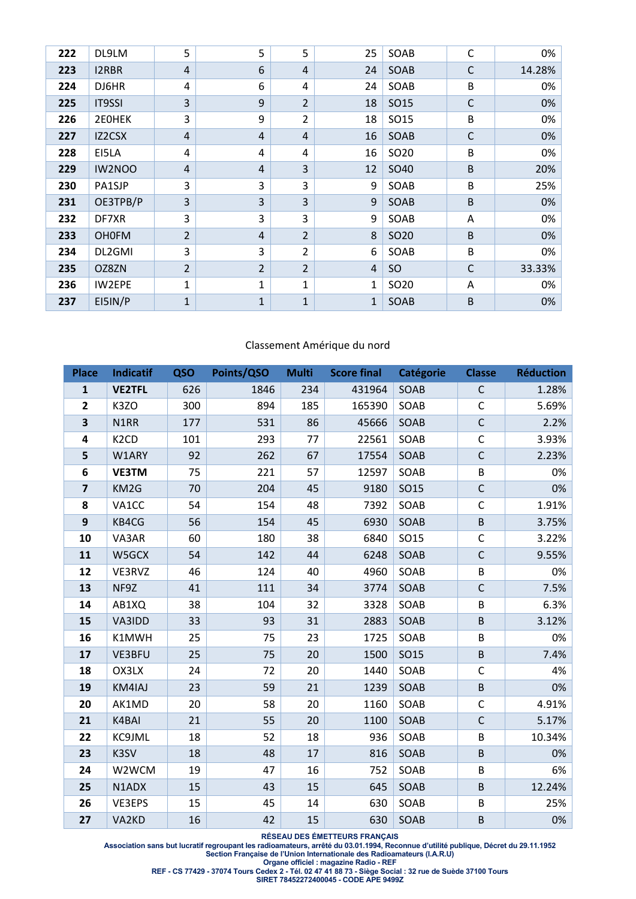| 222 | DL9LM         | 5              | 5              | 5              | 25             | SOAB             | $\mathsf{C}$ | 0%     |
|-----|---------------|----------------|----------------|----------------|----------------|------------------|--------------|--------|
| 223 | I2RBR         | 4              | 6              | $\overline{4}$ | 24             | SOAB             | C            | 14.28% |
| 224 | DJ6HR         | 4              | 6              | 4              | 24             | SOAB             | B            | 0%     |
| 225 | <b>IT9SSI</b> | 3              | 9              | $\overline{2}$ | 18             | SO15             | C            | 0%     |
| 226 | 2E0HEK        | 3              | 9              | $\overline{2}$ | 18             | SO15             | B            | 0%     |
| 227 | IZ2CSX        | 4              | 4              | $\overline{4}$ | 16             | SOAB             | $\mathsf{C}$ | 0%     |
| 228 | EI5LA         | 4              | 4              | 4              | 16             | SO <sub>20</sub> | B            | 0%     |
| 229 | IW2NOO        | 4              | 4              | 3              | 12             | SO40             | B            | 20%    |
| 230 | PA1SJP        | 3              | 3              | 3              | 9              | SOAB             | B            | 25%    |
| 231 | OE3TPB/P      | 3              | 3              | $\overline{3}$ | 9              | SOAB             | B            | 0%     |
| 232 | DF7XR         | 3              | 3              | 3              | 9              | SOAB             | Α            | 0%     |
| 233 | <b>OH0FM</b>  | $\overline{2}$ | 4              | $\overline{2}$ | 8              | SO <sub>20</sub> | B            | 0%     |
| 234 | DL2GMI        | 3              | 3              | $\overline{2}$ | 6              | SOAB             | B            | 0%     |
| 235 | OZ8ZN         | $\overline{2}$ | $\overline{2}$ | $\overline{2}$ | $\overline{4}$ | <b>SO</b>        | $\mathsf{C}$ | 33.33% |
| 236 | IW2EPE        | 1              | 1              | 1              | 1              | SO <sub>20</sub> | A            | 0%     |
| 237 | EI5IN/P       | $\mathbf{1}$   | $\mathbf{1}$   | 1              | 1              | SOAB             | B            | 0%     |

### Classement Amérique du nord

| <b>Place</b>            | <b>Indicatif</b>  | QSO | Points/QSO | <b>Multi</b> | <b>Score final</b> | <b>Catégorie</b> | <b>Classe</b> | <b>Réduction</b> |
|-------------------------|-------------------|-----|------------|--------------|--------------------|------------------|---------------|------------------|
| $\mathbf{1}$            | <b>VE2TFL</b>     | 626 | 1846       | 234          | 431964             | SOAB             | C             | 1.28%            |
| $\overline{2}$          | K3ZO              | 300 | 894        | 185          | 165390             | SOAB             | $\mathsf C$   | 5.69%            |
| 3                       | N1RR              | 177 | 531        | 86           | 45666              | SOAB             | $\mathsf C$   | 2.2%             |
| 4                       | K <sub>2</sub> CD | 101 | 293        | 77           | 22561              | SOAB             | $\mathsf C$   | 3.93%            |
| 5                       | W1ARY             | 92  | 262        | 67           | 17554              | SOAB             | $\mathsf C$   | 2.23%            |
| 6                       | <b>VE3TM</b>      | 75  | 221        | 57           | 12597              | SOAB             | $\sf B$       | 0%               |
| $\overline{\mathbf{z}}$ | KM2G              | 70  | 204        | 45           | 9180               | SO15             | $\mathsf C$   | 0%               |
| 8                       | VA1CC             | 54  | 154        | 48           | 7392               | SOAB             | $\mathsf C$   | 1.91%            |
| 9                       | KB4CG             | 56  | 154        | 45           | 6930               | SOAB             | $\sf B$       | 3.75%            |
| 10                      | VA3AR             | 60  | 180        | 38           | 6840               | <b>SO15</b>      | C             | 3.22%            |
| 11                      | W5GCX             | 54  | 142        | 44           | 6248               | SOAB             | $\mathsf C$   | 9.55%            |
| 12                      | VE3RVZ            | 46  | 124        | 40           | 4960               | SOAB             | $\sf B$       | 0%               |
| 13                      | NF9Z              | 41  | 111        | 34           | 3774               | SOAB             | $\mathsf C$   | 7.5%             |
| 14                      | AB1XQ             | 38  | 104        | 32           | 3328               | SOAB             | B             | 6.3%             |
| 15                      | VA3IDD            | 33  | 93         | 31           | 2883               | SOAB             | $\sf B$       | 3.12%            |
| 16                      | K1MWH             | 25  | 75         | 23           | 1725               | SOAB             | $\sf B$       | 0%               |
| 17                      | VE3BFU            | 25  | 75         | 20           | 1500               | SO15             | $\sf B$       | 7.4%             |
| 18                      | OX3LX             | 24  | 72         | 20           | 1440               | SOAB             | $\mathsf C$   | 4%               |
| 19                      | KM4IAJ            | 23  | 59         | 21           | 1239               | SOAB             | $\sf B$       | 0%               |
| 20                      | AK1MD             | 20  | 58         | 20           | 1160               | SOAB             | C             | 4.91%            |
| 21                      | K4BAI             | 21  | 55         | 20           | 1100               | SOAB             | $\mathsf C$   | 5.17%            |
| 22                      | KC9JML            | 18  | 52         | 18           | 936                | SOAB             | $\sf B$       | 10.34%           |
| 23                      | K3SV              | 18  | 48         | 17           | 816                | SOAB             | $\sf B$       | 0%               |
| 24                      | W2WCM             | 19  | 47         | 16           | 752                | SOAB             | B             | 6%               |
| 25                      | N1ADX             | 15  | 43         | 15           | 645                | SOAB             | $\sf B$       | 12.24%           |
| 26                      | VE3EPS            | 15  | 45         | 14           | 630                | SOAB             | B             | 25%              |
| 27                      | VA2KD             | 16  | 42         | 15           | 630                | SOAB             | $\sf B$       | 0%               |

**RÉSEAU DES ÉMETTEURS FRANÇAIS** 

**Association sans but lucratif regroupant les radioamateurs, arrêté du 03.01.1994, Reconnue d'utilité publique, Décret du 29.11.1952 Section Française de l'Union Internationale des Radioamateurs (I.A.R.U)** 

**Organe officiel : magazine Radio - REF** 

**REF - CS 77429 - 37074 Tours Cedex 2 - Tél. 02 47 41 88 73 - Siège Social : 32 rue de Suède 37100 Tours**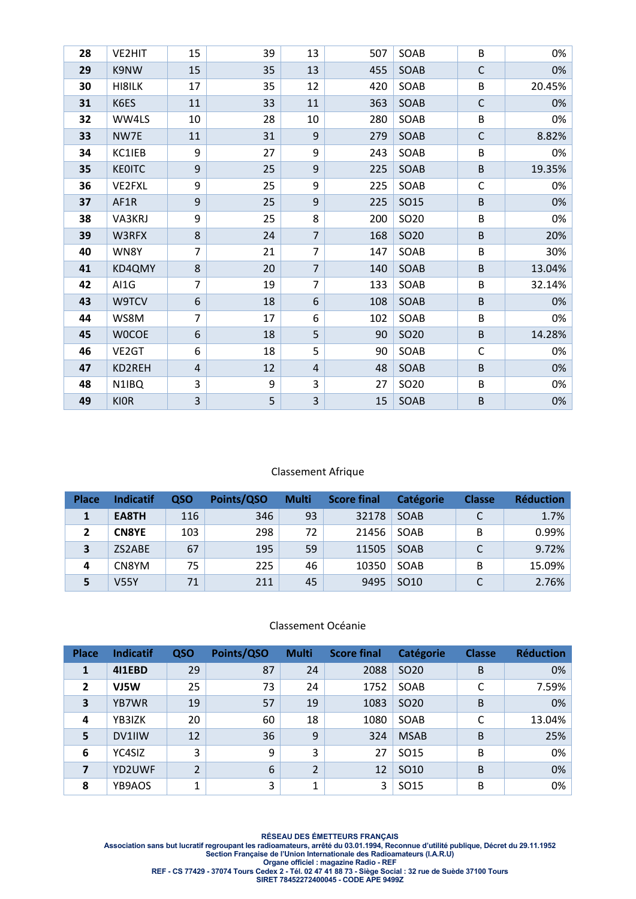| 28 | VE2HIT        | 15             | 39 | 13               | 507 | SOAB | B            | 0%     |
|----|---------------|----------------|----|------------------|-----|------|--------------|--------|
| 29 | K9NW          | 15             | 35 | 13               | 455 | SOAB | $\mathsf{C}$ | 0%     |
| 30 | HI8ILK        | 17             | 35 | 12               | 420 | SOAB | B            | 20.45% |
| 31 | K6ES          | 11             | 33 | 11               | 363 | SOAB | $\mathsf C$  | 0%     |
| 32 | WW4LS         | 10             | 28 | 10               | 280 | SOAB | B            | 0%     |
| 33 | NW7E          | 11             | 31 | $\boldsymbol{9}$ | 279 | SOAB | $\mathsf C$  | 8.82%  |
| 34 | KC1IEB        | 9              | 27 | 9                | 243 | SOAB | B            | 0%     |
| 35 | <b>KEOITC</b> | 9              | 25 | 9                | 225 | SOAB | $\sf B$      | 19.35% |
| 36 | VE2FXL        | 9              | 25 | 9                | 225 | SOAB | $\mathsf C$  | 0%     |
| 37 | AF1R          | 9              | 25 | 9                | 225 | SO15 | $\sf B$      | 0%     |
| 38 | VA3KRJ        | 9              | 25 | 8                | 200 | SO20 | B            | 0%     |
| 39 | W3RFX         | 8              | 24 | $\overline{7}$   | 168 | SO20 | $\sf B$      | 20%    |
| 40 | WN8Y          | $\overline{7}$ | 21 | $\overline{7}$   | 147 | SOAB | B            | 30%    |
| 41 | KD4QMY        | $\bf 8$        | 20 | $\overline{7}$   | 140 | SOAB | B            | 13.04% |
| 42 | AI1G          | 7              | 19 | $\overline{7}$   | 133 | SOAB | B            | 32.14% |
| 43 | W9TCV         | 6              | 18 | 6                | 108 | SOAB | $\sf B$      | 0%     |
| 44 | WS8M          | $\overline{7}$ | 17 | 6                | 102 | SOAB | B            | 0%     |
| 45 | <b>WOCOE</b>  | 6              | 18 | 5                | 90  | SO20 | B            | 14.28% |
| 46 | VE2GT         | 6              | 18 | 5                | 90  | SOAB | C            | 0%     |
| 47 | KD2REH        | $\overline{4}$ | 12 | 4                | 48  | SOAB | $\sf B$      | 0%     |
| 48 | N1IBQ         | 3              | 9  | 3                | 27  | SO20 | $\sf B$      | 0%     |
| 49 | <b>KIOR</b>   | 3              | 5  | 3                | 15  | SOAB | $\sf B$      | 0%     |

#### Classement Afrique

| <b>Place</b> | <b>Indicatif</b> | <b>QSO</b> | Points/QSO | <b>Multi</b> | <b>Score final</b> | Catégorie        | <b>Classe</b> | <b>Réduction</b> |
|--------------|------------------|------------|------------|--------------|--------------------|------------------|---------------|------------------|
|              | EA8TH            | 116        | 346        | 93           | 32178              | SOAB             | C             | 1.7%             |
|              | <b>CN8YE</b>     | 103        | 298        | 72           | 21456              | SOAB             | В             | 0.99%            |
| 3            | ZS2ABE           | 67         | 195        | 59           | 11505              | SOAB             |               | 9.72%            |
| 4            | CN8YM            | 75         | 225        | 46           | 10350              | SOAB             | В             | 15.09%           |
|              | <b>V55Y</b>      | 71         | 211        | 45           | 9495               | SO <sub>10</sub> |               | 2.76%            |

#### Classement Océanie

| <b>Place</b> | <b>Indicatif</b> | QSO                      | Points/QSO | <b>Multi</b>   | <b>Score final</b> | <b>Catégorie</b> | <b>Classe</b> | <b>Réduction</b> |
|--------------|------------------|--------------------------|------------|----------------|--------------------|------------------|---------------|------------------|
| 1            | 411EBD           | 29                       | 87         | 24             | 2088               | SO <sub>20</sub> | B             | 0%               |
| 2            | VJ5W             | 25                       | 73         | 24             | 1752               | SOAB             | C             | 7.59%            |
| 3            | YB7WR            | 19                       | 57         | 19             | 1083               | SO <sub>20</sub> | B             | 0%               |
| 4            | YB3IZK           | 20                       | 60         | 18             | 1080               | SOAB             | C             | 13.04%           |
| 5            | DV1IIW           | 12                       | 36         | 9              | 324                | <b>MSAB</b>      | B             | 25%              |
| 6            | YC4SIZ           | 3                        | 9          | 3              | 27                 | SO <sub>15</sub> | B             | 0%               |
| 7            | YD2UWF           | $\overline{\mathcal{L}}$ | 6          | $\overline{2}$ | 12                 | SO <sub>10</sub> | B             | 0%               |
| 8            | YB9AOS           | 4                        | 3          | 1              | 3                  | SO15             | B             | 0%               |

**RÉSEAU DES ÉMETTEURS FRANÇAIS Association sans but lucratif regroupant les radioamateurs, arrêté du 03.01.1994, Reconnue d'utilité publique, Décret du 29.11.1952 Section Française de l'Union Internationale des Radioamateurs (I.A.R.U) Organe officiel : magazine Radio - REF REF - CS 77429 - 37074 Tours Cedex 2 - Tél. 02 47 41 88 73 - Siège Social : 32 rue de Suède 37100 Tours SIRET 78452272400045 - CODE APE 9499Z**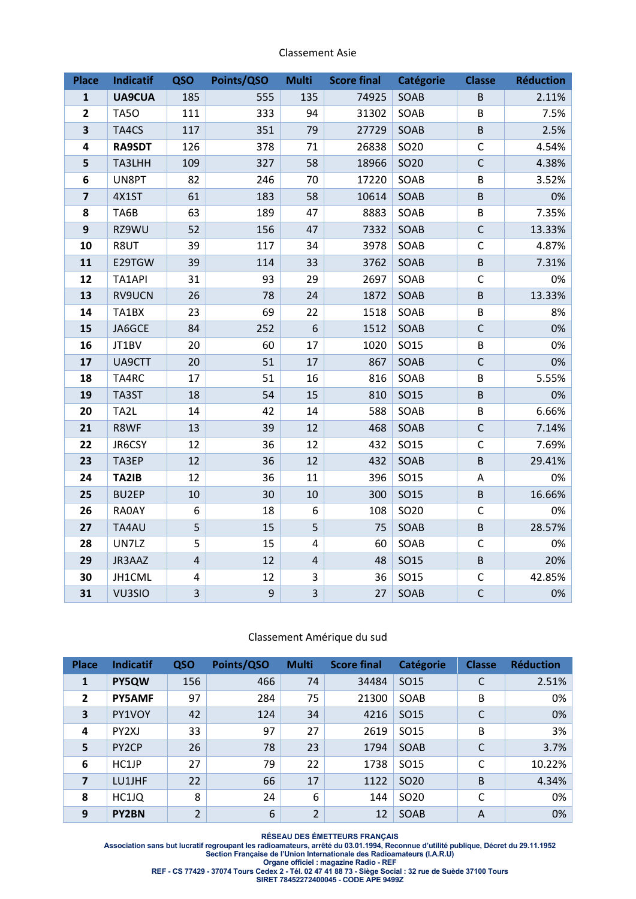| Classement Asie |  |
|-----------------|--|
|-----------------|--|

| <b>Place</b>            | Indicatif     | QSO            | Points/QSO | <b>Multi</b>   | <b>Score final</b> | <b>Catégorie</b> | <b>Classe</b> | <b>Réduction</b> |
|-------------------------|---------------|----------------|------------|----------------|--------------------|------------------|---------------|------------------|
| $\mathbf{1}$            | <b>UA9CUA</b> | 185            | 555        | 135            | 74925              | SOAB             | $\sf B$       | 2.11%            |
| $\overline{\mathbf{c}}$ | <b>TA50</b>   | 111            | 333        | 94             | 31302              | SOAB             | B             | 7.5%             |
| $\overline{\mathbf{3}}$ | TA4CS         | 117            | 351        | 79             | 27729              | SOAB             | $\sf B$       | 2.5%             |
| 4                       | <b>RA9SDT</b> | 126            | 378        | 71             | 26838              | SO20             | $\mathsf C$   | 4.54%            |
| 5                       | TA3LHH        | 109            | 327        | 58             | 18966              | SO20             | $\mathsf{C}$  | 4.38%            |
| 6                       | UN8PT         | 82             | 246        | 70             | 17220              | SOAB             | B             | 3.52%            |
| $\overline{\mathbf{z}}$ | 4X1ST         | 61             | 183        | 58             | 10614              | SOAB             | $\sf B$       | 0%               |
| 8                       | TA6B          | 63             | 189        | 47             | 8883               | SOAB             | B             | 7.35%            |
| $\boldsymbol{9}$        | RZ9WU         | 52             | 156        | 47             | 7332               | SOAB             | $\mathsf C$   | 13.33%           |
| 10                      | R8UT          | 39             | 117        | 34             | 3978               | SOAB             | $\mathsf{C}$  | 4.87%            |
| 11                      | E29TGW        | 39             | 114        | 33             | 3762               | SOAB             | $\sf B$       | 7.31%            |
| 12                      | TA1API        | 31             | 93         | 29             | 2697               | SOAB             | C             | 0%               |
| 13                      | RV9UCN        | 26             | 78         | 24             | 1872               | SOAB             | $\sf B$       | 13.33%           |
| 14                      | TA1BX         | 23             | 69         | 22             | 1518               | SOAB             | B             | 8%               |
| 15                      | JA6GCE        | 84             | 252        | 6              | 1512               | SOAB             | $\mathsf C$   | 0%               |
| 16                      | JT1BV         | 20             | 60         | 17             | 1020               | SO15             | B             | 0%               |
| 17                      | UA9CTT        | 20             | 51         | 17             | 867                | SOAB             | $\mathsf C$   | 0%               |
| 18                      | TA4RC         | 17             | 51         | 16             | 816                | SOAB             | B             | 5.55%            |
| 19                      | TA3ST         | 18             | 54         | 15             | 810                | <b>SO15</b>      | $\sf B$       | 0%               |
| 20                      | TA2L          | 14             | 42         | 14             | 588                | SOAB             | B             | 6.66%            |
| 21                      | R8WF          | 13             | 39         | 12             | 468                | SOAB             | $\mathsf C$   | 7.14%            |
| 22                      | JR6CSY        | 12             | 36         | 12             | 432                | SO15             | $\mathsf{C}$  | 7.69%            |
| 23                      | TA3EP         | 12             | 36         | 12             | 432                | SOAB             | $\sf B$       | 29.41%           |
| 24                      | TA2IB         | 12             | 36         | 11             | 396                | <b>SO15</b>      | Α             | 0%               |
| 25                      | BU2EP         | 10             | 30         | 10             | 300                | <b>SO15</b>      | $\sf B$       | 16.66%           |
| 26                      | RA0AY         | 6              | 18         | 6              | 108                | SO20             | $\mathsf{C}$  | 0%               |
| 27                      | TA4AU         | 5              | 15         | 5              | 75                 | SOAB             | $\sf B$       | 28.57%           |
| 28                      | UN7LZ         | 5              | 15         | 4              | 60                 | SOAB             | $\mathsf{C}$  | 0%               |
| 29                      | JR3AAZ        | $\overline{4}$ | 12         | 4              | 48                 | <b>SO15</b>      | $\sf B$       | 20%              |
| 30                      | JH1CML        | 4              | 12         | 3              | 36                 | SO15             | C             | 42.85%           |
| 31                      | VU3SIO        | $\overline{3}$ | 9          | $\overline{3}$ | 27                 | SOAB             | $\mathsf{C}$  | 0%               |

#### Classement Amérique du sud

| <b>Place</b>   | <b>Indicatif</b>   | QSO            | Points/QSO | <b>Multi</b>   | <b>Score final</b> | <b>Catégorie</b> | <b>Classe</b> | <b>Réduction</b> |
|----------------|--------------------|----------------|------------|----------------|--------------------|------------------|---------------|------------------|
| $\mathbf{1}$   | PY5QW              | 156            | 466        | 74             | 34484              | SO <sub>15</sub> | C             | 2.51%            |
| $\overline{2}$ | <b>PY5AMF</b>      | 97             | 284        | 75             | 21300              | SOAB             | B             | 0%               |
| 3              | PY1VOY             | 42             | 124        | 34             | 4216               | SO <sub>15</sub> | C             | 0%               |
| 4              | PY <sub>2XJ</sub>  | 33             | 97         | 27             | 2619               | SO <sub>15</sub> | B             | 3%               |
| 5              | PY <sub>2</sub> CP | 26             | 78         | 23             | 1794               | SOAB             | C             | 3.7%             |
| 6              | HC1JP              | 27             | 79         | 22             | 1738               | SO <sub>15</sub> | C             | 10.22%           |
| $\overline{z}$ | LU1JHF             | 22             | 66         | 17             | 1122               | SO <sub>20</sub> | B             | 4.34%            |
| 8              | HC1JQ              | 8              | 24         | 6              | 144                | SO <sub>20</sub> | C             | 0%               |
| 9              | <b>PY2BN</b>       | $\overline{2}$ | 6          | $\overline{2}$ | 12                 | SOAB             | A             | 0%               |

**RÉSEAU DES ÉMETTEURS FRANÇAIS** 

**Association sans but lucratif regroupant les radioamateurs, arrêté du 03.01.1994, Reconnue d'utilité publique, Décret du 29.11.1952 Section Française de l'Union Internationale des Radioamateurs (I.A.R.U) Organe officiel : magazine Radio - REF** 

**REF - CS 77429 - 37074 Tours Cedex 2 - Tél. 02 47 41 88 73 - Siège Social : 32 rue de Suède 37100 Tours SIRET 78452272400045 - CODE APE 9499Z**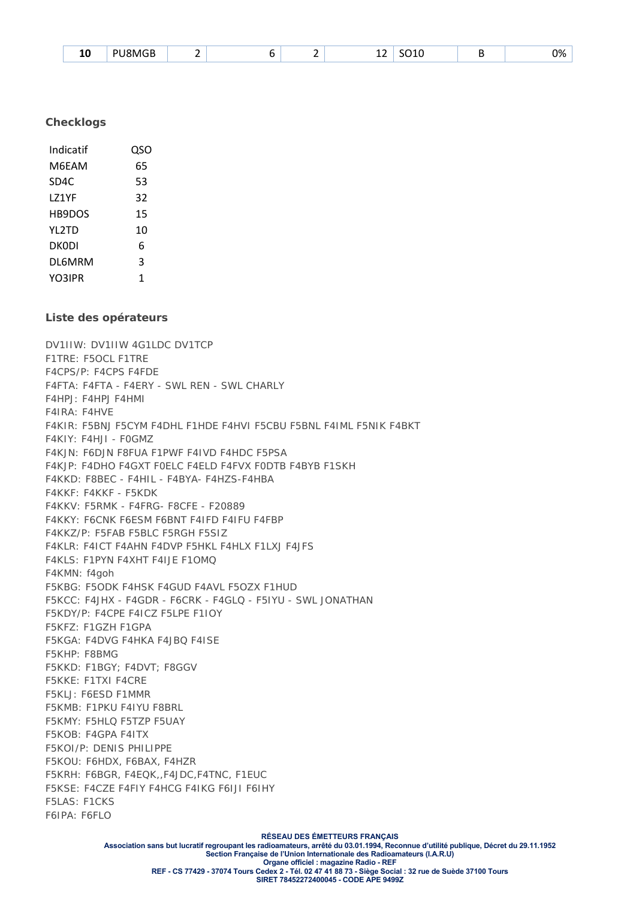| ACE<br>- -<br>ומ<br>່ເດຣ<br>ᅩ<br>--<br>. .<br>____<br>___<br>$\sim$ | יסר<br>$\mathbf{z}$<br>, ,<br>$ -$ |
|---------------------------------------------------------------------|------------------------------------|
|---------------------------------------------------------------------|------------------------------------|

#### **Checklogs**

| Indicatif    | QSO |
|--------------|-----|
| M6FAM        | 65  |
| SD4C         | 53  |
| 171YF        | 32  |
| HB9DOS       | 15  |
| <b>YL2TD</b> | 10  |
| DKODI        | 6   |
| DL6MRM       | 3   |
| YO3IPR       | 1   |

#### **Liste des opérateurs**

DV1IIW: DV1IIW 4G1LDC DV1TCP F1TRE: F5OCL F1TRE F4CPS/P: F4CPS F4FDE F4FTA: F4FTA - F4ERY - SWL REN - SWL CHARLY F4HPJ: F4HPJ F4HMI F4IRA: F4HVE F4KIR: F5BNJ F5CYM F4DHL F1HDE F4HVI F5CBU F5BNL F4IML F5NIK F4BKT F4KIY: F4HJI - F0GMZ F4KJN: F6DJN F8FUA F1PWF F4IVD F4HDC F5PSA F4KJP: F4DHO F4GXT F0ELC F4ELD F4FVX F0DTB F4BYB F1SKH F4KKD: F8BEC - F4HIL - F4BYA- F4HZS-F4HBA F4KKF: F4KKF - F5KDK F4KKV: F5RMK - F4FRG- F8CFE - F20889 F4KKY: F6CNK F6ESM F6BNT F4IFD F4IFU F4FBP F4KKZ/P: F5FAB F5BLC F5RGH F5SIZ F4KLR: F4ICT F4AHN F4DVP F5HKL F4HLX F1LXJ F4JFS F4KLS: F1PYN F4XHT F4IJE F1OMQ F4KMN: f4goh F5KBG: F5ODK F4HSK F4GUD F4AVL F5OZX F1HUD F5KCC: F4JHX - F4GDR - F6CRK - F4GLQ - F5IYU - SWL JONATHAN F5KDY/P: F4CPE F4ICZ F5LPE F1IOY F5KFZ: F1GZH F1GPA F5KGA: F4DVG F4HKA F4JBQ F4ISE F5KHP: F8BMG F5KKD: F1BGY; F4DVT; F8GGV F5KKE: F1TXI F4CRE F5KLJ: F6ESD F1MMR F5KMB: F1PKU F4IYU F8BRL F5KMY: F5HLQ F5TZP F5UAY F5KOB: F4GPA F4ITX F5KOI/P: DENIS PHILIPPE F5KOU: F6HDX, F6BAX, F4HZR F5KRH: F6BGR, F4EQK,,F4JDC,F4TNC, F1EUC F5KSE: F4CZE F4FIY F4HCG F4IKG F6IJI F6IHY F5LAS: F1CKS F6IPA: F6FLO

> **RÉSEAU DES ÉMETTEURS FRANÇAIS Association sans but lucratif regroupant les radioamateurs, arrêté du 03.01.1994, Reconnue d'utilité publique, Décret du 29.11.1952 Section Française de l'Union Internationale des Radioamateurs (I.A.R.U) Organe officiel : magazine Radio - REF REF - CS 77429 - 37074 Tours Cedex 2 - Tél. 02 47 41 88 73 - Siège Social : 32 rue de Suède 37100 Tours SIRET 78452272400045 - CODE APE 9499Z**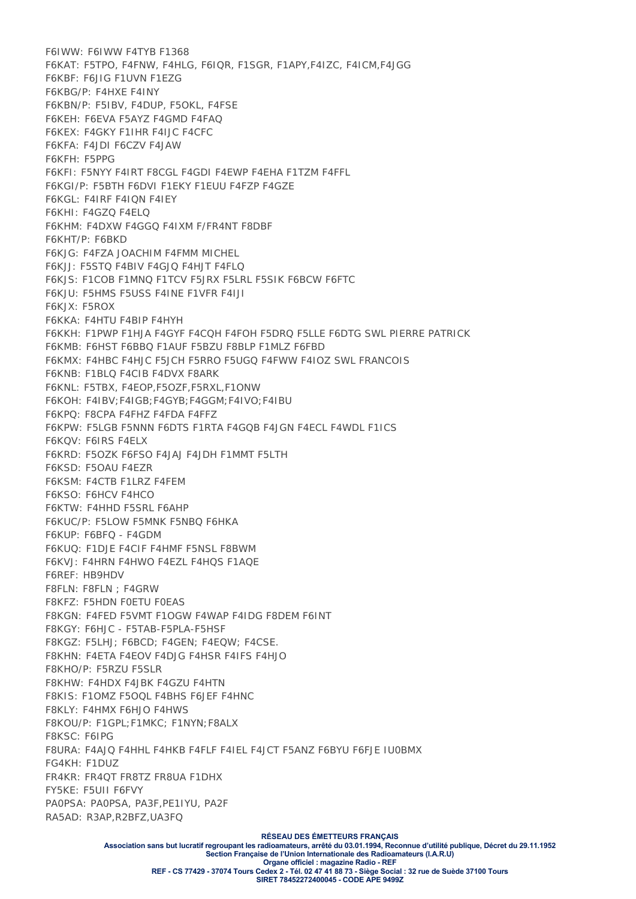F6IWW: F6IWW F4TYB F1368 F6KAT: F5TPO, F4FNW, F4HLG, F6IQR, F1SGR, F1APY,F4IZC, F4ICM,F4JGG F6KBF: F6JIG F1UVN F1EZG F6KBG/P: F4HXE F4INY F6KBN/P: F5IBV, F4DUP, F5OKL, F4FSE F6KEH: F6EVA F5AYZ F4GMD F4FAQ F6KEX: F4GKY F1IHR F4IJC F4CFC F6KFA: F4JDI F6CZV F4JAW F6KFH: F5PPG F6KFI: F5NYY F4IRT F8CGL F4GDI F4EWP F4EHA F1TZM F4FFL F6KGI/P: F5BTH F6DVI F1EKY F1EUU F4FZP F4GZE F6KGL: F4IRF F4IQN F4IEY F6KHI: F4GZQ F4ELQ F6KHM: F4DXW F4GGQ F4IXM F/FR4NT F8DBF F6KHT/P: F6BKD F6KJG: F4FZA JOACHIM F4FMM MICHEL F6KJJ: F5STQ F4BIV F4GJQ F4HJT F4FLQ F6KJS: F1COB F1MNQ F1TCV F5JRX F5LRL F5SIK F6BCW F6FTC F6KJU: F5HMS F5USS F4INE F1VFR F4IJI F6KJX: F5ROX F6KKA: F4HTU F4BIP F4HYH F6KKH: F1PWP F1HJA F4GYF F4CQH F4FOH F5DRQ F5LLE F6DTG SWL PIERRE PATRICK F6KMB: F6HST F6BBQ F1AUF F5BZU F8BLP F1MLZ F6FBD F6KMX: F4HBC F4HJC F5JCH F5RRO F5UGQ F4FWW F4IOZ SWL FRANCOIS F6KNB: F1BLQ F4CIB F4DVX F8ARK F6KNL: F5TBX, F4EOP,F5OZF,F5RXL,F1ONW F6KOH: F4IBV;F4IGB;F4GYB;F4GGM;F4IVO;F4IBU F6KPQ: F8CPA F4FHZ F4FDA F4FFZ F6KPW: F5LGB F5NNN F6DTS F1RTA F4GQB F4JGN F4ECL F4WDL F1ICS F6KQV: F6IRS F4ELX F6KRD: F5OZK F6FSO F4JAJ F4JDH F1MMT F5LTH F6KSD: F5OAU F4EZR F6KSM: F4CTB F1LRZ F4FEM F6KSO: F6HCV F4HCO F6KTW: F4HHD F5SRL F6AHP F6KUC/P: F5LOW F5MNK F5NBQ F6HKA F6KUP: F6BFQ - F4GDM F6KUQ: F1DJE F4CIF F4HMF F5NSL F8BWM F6KVJ: F4HRN F4HWO F4EZL F4HQS F1AQE F6REF: HB9HDV F8FLN: F8FLN ; F4GRW F8KFZ: F5HDN F0ETU F0EAS F8KGN: F4FED F5VMT F1OGW F4WAP F4IDG F8DEM F6INT F8KGY: F6HJC - F5TAB-F5PLA-F5HSF F8KGZ: F5LHJ; F6BCD; F4GEN; F4EQW; F4CSE. F8KHN: F4ETA F4EOV F4DJG F4HSR F4IFS F4HJO F8KHO/P: F5RZU F5SLR F8KHW: F4HDX F4JBK F4GZU F4HTN F8KIS: F1OMZ F5OQL F4BHS F6JEF F4HNC F8KLY: F4HMX F6HJO F4HWS F8KOU/P: F1GPL;F1MKC; F1NYN;F8ALX F8KSC: F6IPG F8URA: F4AJQ F4HHL F4HKB F4FLF F4IEL F4JCT F5ANZ F6BYU F6FJE IU0BMX FG4KH: F1DUZ FR4KR: FR4QT FR8TZ FR8UA F1DHX FY5KE: F5UII F6FVY PA0PSA: PA0PSA, PA3F,PE1IYU, PA2F RA5AD: R3AP,R2BFZ,UA3FQ

**RÉSEAU DES ÉMETTEURS FRANÇAIS** 

**SIRET 78452272400045 - CODE APE 9499Z** 

**Association sans but lucratif regroupant les radioamateurs, arrêté du 03.01.1994, Reconnue d'utilité publique, Décret du 29.11.1952 Section Française de l'Union Internationale des Radioamateurs (I.A.R.U) Organe officiel : magazine Radio - REF REF - CS 77429 - 37074 Tours Cedex 2 - Tél. 02 47 41 88 73 - Siège Social : 32 rue de Suède 37100 Tours**